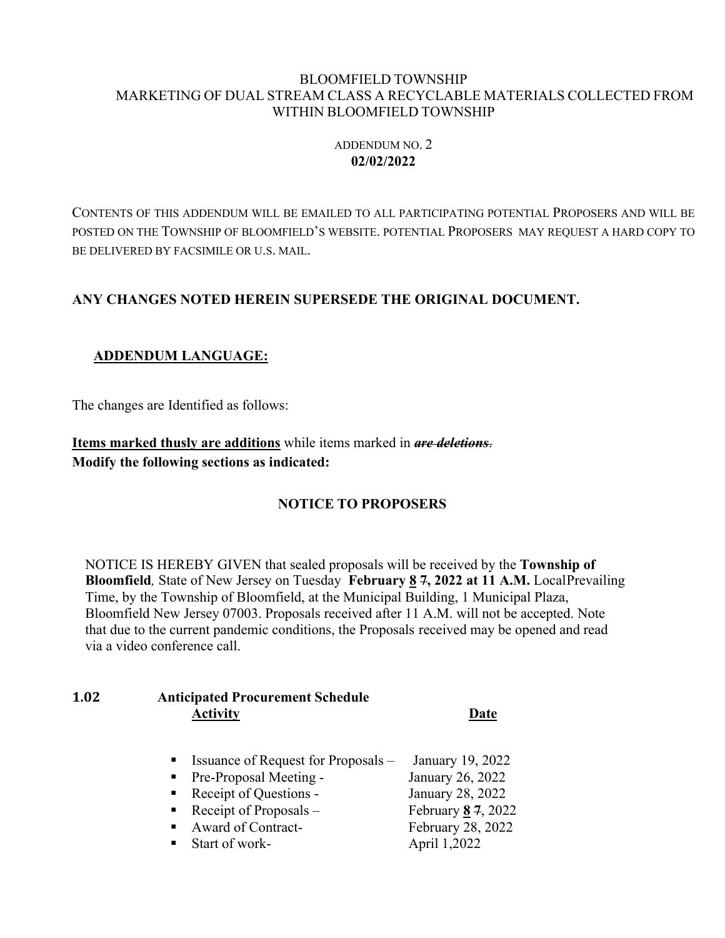#### BLOOMFIELD TOWNSHIP MARKETING OF DUAL STREAM CLASS A RECYCLABLE MATERIALS COLLECTED FROM WITHIN BLOOMFIELD TOWNSHIP

#### ADDENDUM NO. 2 **02/02/2022**

CONTENTS OF THIS ADDENDUM WILL BE EMAILED TO ALL PARTICIPATING POTENTIAL PROPOSERS AND WILL BE POSTED ON THE TOWNSHIP OF BLOOMFIELD'S WEBSITE. POTENTIAL PROPOSERS MAY REQUEST A HARD COPY TO BE DELIVERED BY FACSIMILE OR U.S. MAIL.

# **ANY CHANGES NOTED HEREIN SUPERSEDE THE ORIGINAL DOCUMENT.**

# **ADDENDUM LANGUAGE:**

The changes are Identified as follows:

**Items marked thusly are additions** while items marked in *are deletions*. **Modify the following sections as indicated:**

# **NOTICE TO PROPOSERS**

NOTICE IS HEREBY GIVEN that sealed proposals will be received by the **Township of Bloomfield***,* State of New Jersey on Tuesday **February 8 7, 2022 at 11 A.M.** LocalPrevailing Time, by the Township of Bloomfield, at the Municipal Building, 1 Municipal Plaza, Bloomfield New Jersey 07003. Proposals received after 11 A.M. will not be accepted. Note that due to the current pandemic conditions, the Proposals received may be opened and read via a video conference call.

# **1.02 Anticipated Procurement Schedule Activity Date**

- ! Issuance of Request for Proposals January 19, 2022 **Pre-Proposal Meeting - January 26, 2022** ! Receipt of Questions - January 28, 2022
- ! Receipt of Proposals February **8 7**, 2022
- Award of Contract- February 28, 2022
- Start of work- April 1,2022